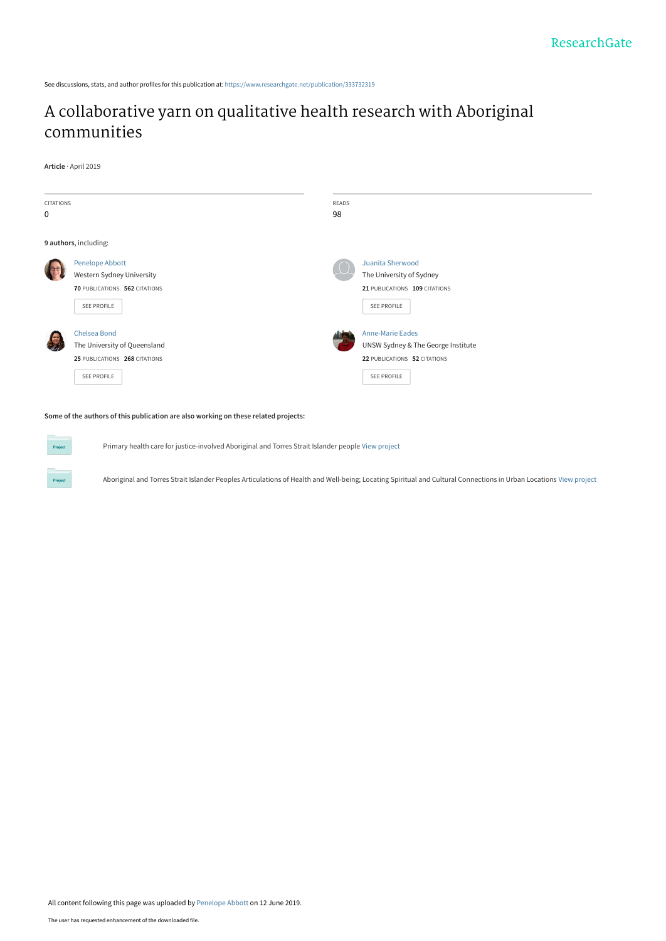See discussions, stats, and author profiles for this publication at: [https://www.researchgate.net/publication/333732319](https://www.researchgate.net/publication/333732319_A_collaborative_yarn_on_qualitative_health_research_with_Aboriginal_communities?enrichId=rgreq-5a3ba3ff5a672ebb41b054cab0c3551c-XXX&enrichSource=Y292ZXJQYWdlOzMzMzczMjMxOTtBUzo3NjkwNzg0NTMxMDA1NDRAMTU2MDM3NDAwMDM3NA%3D%3D&el=1_x_2&_esc=publicationCoverPdf)

### [A collaborative yarn on qualitative health research with Aboriginal](https://www.researchgate.net/publication/333732319_A_collaborative_yarn_on_qualitative_health_research_with_Aboriginal_communities?enrichId=rgreq-5a3ba3ff5a672ebb41b054cab0c3551c-XXX&enrichSource=Y292ZXJQYWdlOzMzMzczMjMxOTtBUzo3NjkwNzg0NTMxMDA1NDRAMTU2MDM3NDAwMDM3NA%3D%3D&el=1_x_3&_esc=publicationCoverPdf) communities

**Article** · April 2019



#### **Some of the authors of this publication are also working on these related projects:**

**Project** 

Primary health care for justice-involved Aboriginal and Torres Strait Islander people [View project](https://www.researchgate.net/project/Primary-health-care-for-justice-involved-Aboriginal-and-Torres-Strait-Islander-people?enrichId=rgreq-5a3ba3ff5a672ebb41b054cab0c3551c-XXX&enrichSource=Y292ZXJQYWdlOzMzMzczMjMxOTtBUzo3NjkwNzg0NTMxMDA1NDRAMTU2MDM3NDAwMDM3NA%3D%3D&el=1_x_9&_esc=publicationCoverPdf)

Aboriginal and Torres Strait Islander Peoples Articulations of Health and Well-being; Locating Spiritual and Cultural Connections in Urban Locations [View project](https://www.researchgate.net/project/Aboriginal-and-Torres-Strait-Islander-Peoples-Articulations-of-Health-and-Well-being-Locating-Spiritual-and-Cultural-Connections-in-Urban-Locations?enrichId=rgreq-5a3ba3ff5a672ebb41b054cab0c3551c-XXX&enrichSource=Y292ZXJQYWdlOzMzMzczMjMxOTtBUzo3NjkwNzg0NTMxMDA1NDRAMTU2MDM3NDAwMDM3NA%3D%3D&el=1_x_9&_esc=publicationCoverPdf)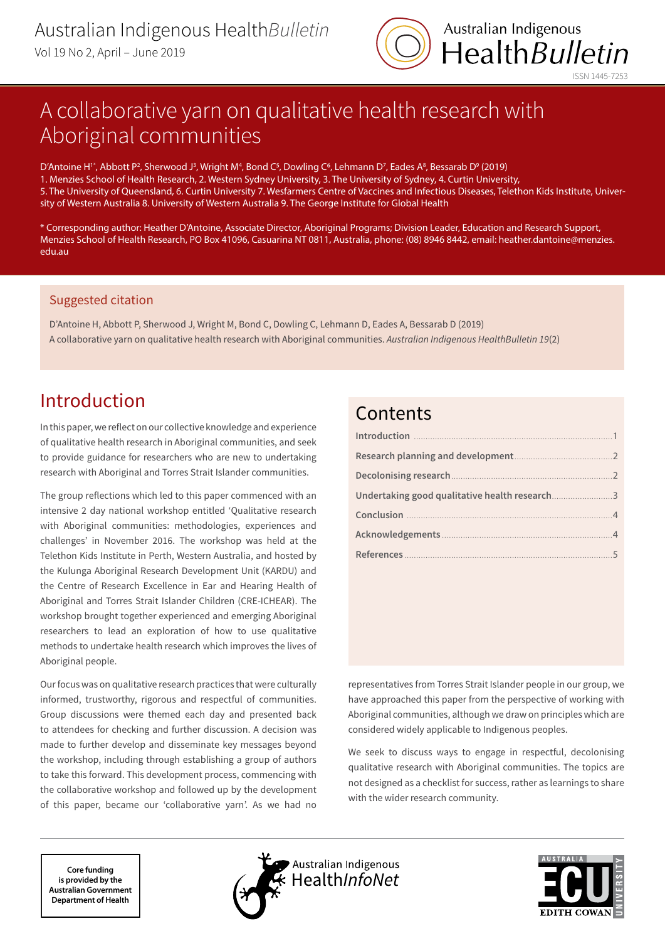

# A collaborative yarn on qualitative health research with Aboriginal communities

D'Antoine H<sup>1</sup>", Abbott P<sup>2</sup>, Sherwood J<sup>3</sup>, Wright M<sup>4</sup>, Bond C<sup>5</sup>, Dowling C<sup>6</sup>, Lehmann D<sup>7</sup>, Eades A<sup>8</sup>, Bessarab D<sup>9</sup> (2019) 1. Menzies School of Health Research, 2. Western Sydney University, 3. The University of Sydney, 4. Curtin University, 5. The University of Queensland, 6. Curtin University 7. Wesfarmers Centre of Vaccines and Infectious Diseases, Telethon Kids Institute, University of Western Australia 8. University of Western Australia 9. The George Institute for Global Health

\* Corresponding author: Heather D'Antoine, Associate Director, Aboriginal Programs; Division Leader, Education and Research Support, Menzies School of Health Research, PO Box 41096, Casuarina NT 0811, Australia, phone: (08) 8946 8442, email: heather.dantoine@menzies. edu.au

### Suggested citation

D'Antoine H, Abbott P, Sherwood J, Wright M, Bond C, Dowling C, Lehmann D, Eades A, Bessarab D (2019) A collaborative yarn on qualitative health research with Aboriginal communities. *Australian Indigenous HealthBulletin 19*(2)

## Introduction

In this paper, we reflect on our collective knowledge and experience of qualitative health research in Aboriginal communities, and seek to provide guidance for researchers who are new to undertaking research with Aboriginal and Torres Strait Islander communities.

The group reflections which led to this paper commenced with an intensive 2 day national workshop entitled 'Qualitative research with Aboriginal communities: methodologies, experiences and challenges' in November 2016. The workshop was held at the Telethon Kids Institute in Perth, Western Australia, and hosted by the Kulunga Aboriginal Research Development Unit (KARDU) and the Centre of Research Excellence in Ear and Hearing Health of Aboriginal and Torres Strait Islander Children (CRE-ICHEAR). The workshop brought together experienced and emerging Aboriginal researchers to lead an exploration of how to use qualitative methods to undertake health research which improves the lives of Aboriginal people.

Our focus was on qualitative research practices that were culturally informed, trustworthy, rigorous and respectful of communities. Group discussions were themed each day and presented back to attendees for checking and further discussion. A decision was made to further develop and disseminate key messages beyond the workshop, including through establishing a group of authors to take this forward. This development process, commencing with the collaborative workshop and followed up by the development of this paper, became our 'collaborative yarn'. As we had no

### **Contents**

representatives from Torres Strait Islander people in our group, we have approached this paper from the perspective of working with Aboriginal communities, although we draw on principles which are considered widely applicable to Indigenous peoples.

We seek to discuss ways to engage in respectful, decolonising qualitative research with Aboriginal communities. The topics are not designed as a checklist for success, rather as learnings to share with the wider research community.

**Core funding is provided by the Australian Government Department of Health**



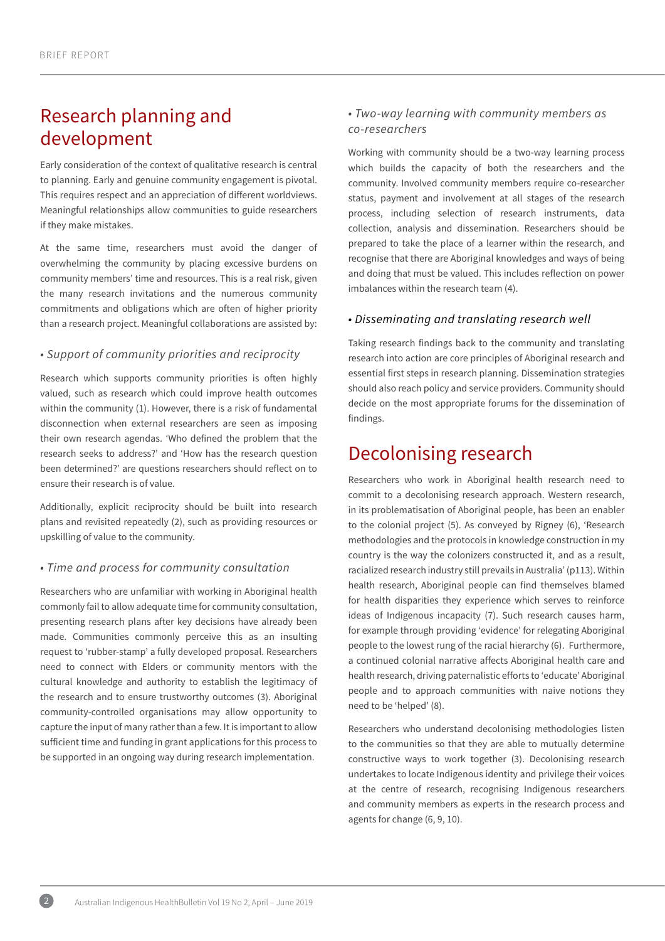## <span id="page-2-0"></span>Research planning and development

Early consideration of the context of qualitative research is central to planning. Early and genuine community engagement is pivotal. This requires respect and an appreciation of different worldviews. Meaningful relationships allow communities to guide researchers if they make mistakes.

At the same time, researchers must avoid the danger of overwhelming the community by placing excessive burdens on community members' time and resources. This is a real risk, given the many research invitations and the numerous community commitments and obligations which are often of higher priority than a research project. Meaningful collaborations are assisted by:

#### *• Support of community priorities and reciprocity*

Research which supports community priorities is often highly valued, such as research which could improve health outcomes within the community (1). However, there is a risk of fundamental disconnection when external researchers are seen as imposing their own research agendas. 'Who defined the problem that the research seeks to address?' and 'How has the research question been determined?' are questions researchers should reflect on to ensure their research is of value.

Additionally, explicit reciprocity should be built into research plans and revisited repeatedly (2), such as providing resources or upskilling of value to the community.

#### *• Time and process for community consultation*

Researchers who are unfamiliar with working in Aboriginal health commonly fail to allow adequate time for community consultation, presenting research plans after key decisions have already been made. Communities commonly perceive this as an insulting request to 'rubber-stamp' a fully developed proposal. Researchers need to connect with Elders or community mentors with the cultural knowledge and authority to establish the legitimacy of the research and to ensure trustworthy outcomes (3). Aboriginal community-controlled organisations may allow opportunity to capture the input of many rather than a few. It is important to allow sufficient time and funding in grant applications for this process to be supported in an ongoing way during research implementation.

### *• Two-way learning with community members as co-researchers*

Working with community should be a two-way learning process which builds the capacity of both the researchers and the community. Involved community members require co-researcher status, payment and involvement at all stages of the research process, including selection of research instruments, data collection, analysis and dissemination. Researchers should be prepared to take the place of a learner within the research, and recognise that there are Aboriginal knowledges and ways of being and doing that must be valued. This includes reflection on power imbalances within the research team (4).

#### *• Disseminating and translating research well*

Taking research findings back to the community and translating research into action are core principles of Aboriginal research and essential first steps in research planning. Dissemination strategies should also reach policy and service providers. Community should decide on the most appropriate forums for the dissemination of findings.

### Decolonising research

Researchers who work in Aboriginal health research need to commit to a decolonising research approach. Western research, in its problematisation of Aboriginal people, has been an enabler to the colonial project (5). As conveyed by Rigney (6), 'Research methodologies and the protocols in knowledge construction in my country is the way the colonizers constructed it, and as a result, racialized research industry still prevails in Australia' (p113). Within health research, Aboriginal people can find themselves blamed for health disparities they experience which serves to reinforce ideas of Indigenous incapacity (7). Such research causes harm, for example through providing 'evidence' for relegating Aboriginal people to the lowest rung of the racial hierarchy (6). Furthermore, a continued colonial narrative affects Aboriginal health care and health research, driving paternalistic efforts to 'educate' Aboriginal people and to approach communities with naive notions they need to be 'helped' (8).

Researchers who understand decolonising methodologies listen to the communities so that they are able to mutually determine constructive ways to work together (3). Decolonising research undertakes to locate Indigenous identity and privilege their voices at the centre of research, recognising Indigenous researchers and community members as experts in the research process and agents for change (6, 9, 10).

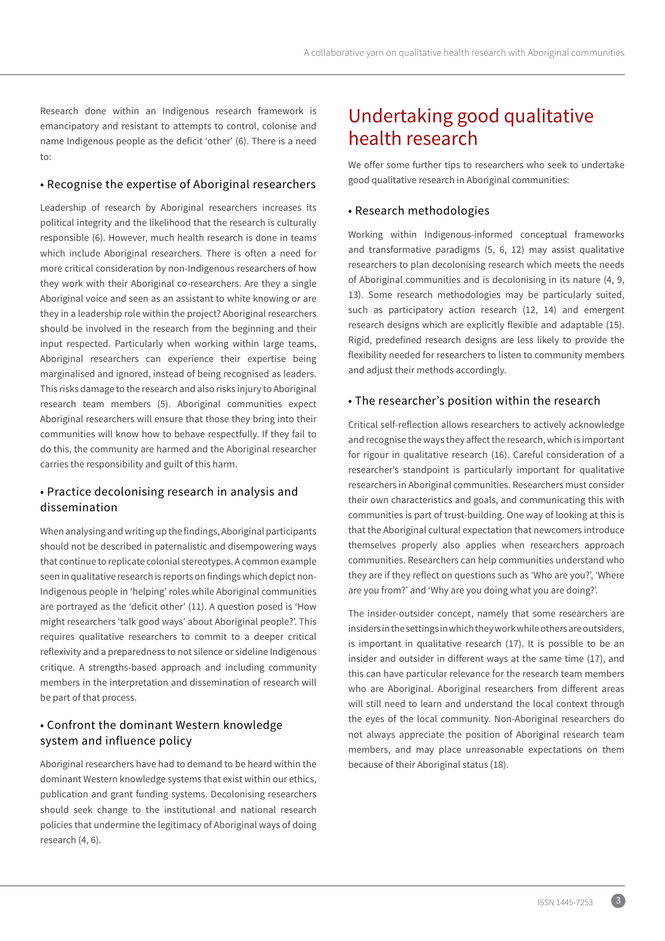<span id="page-3-0"></span>Research done within an Indigenous research framework is emancipatory and resistant to attempts to control, colonise and name Indigenous people as the deficit 'other' (6). There is a need to:

#### • Recognise the expertise of Aboriginal researchers

Leadership of research by Aboriginal researchers increases its political integrity and the likelihood that the research is culturally responsible (6). However, much health research is done in teams which include Aboriginal researchers. There is often a need for more critical consideration by non-Indigenous researchers of how they work with their Aboriginal co-researchers. Are they a single Aboriginal voice and seen as an assistant to white knowing or are they in a leadership role within the project? Aboriginal researchers should be involved in the research from the beginning and their input respected. Particularly when working within large teams, Aboriginal researchers can experience their expertise being marginalised and ignored, instead of being recognised as leaders. This risks damage to the research and also risks injury to Aboriginal research team members (5). Aboriginal communities expect Aboriginal researchers will ensure that those they bring into their communities will know how to behave respectfully. If they fail to do this, the community are harmed and the Aboriginal researcher carries the responsibility and guilt of this harm.

### • Practice decolonising research in analysis and dissemination

When analysing and writing up the findings, Aboriginal participants should not be described in paternalistic and disempowering ways that continue to replicate colonial stereotypes. A common example seen in qualitative research is reports on findings which depict non-Indigenous people in 'helping' roles while Aboriginal communities are portrayed as the 'deficit other' (11). A question posed is 'How might researchers 'talk good ways' about Aboriginal people?'. This requires qualitative researchers to commit to a deeper critical reflexivity and a preparedness to not silence or sideline Indigenous critique. A strengths-based approach and including community members in the interpretation and dissemination of research will be part of that process.

### • Confront the dominant Western knowledge system and influence policy

Aboriginal researchers have had to demand to be heard within the dominant Western knowledge systems that exist within our ethics, publication and grant funding systems. Decolonising researchers should seek change to the institutional and national research policies that undermine the legitimacy of Aboriginal ways of doing research (4, 6).

### Undertaking good qualitative health research

We offer some further tips to researchers who seek to undertake good qualitative research in Aboriginal communities:

#### • Research methodologies

Working within Indigenous-informed conceptual frameworks and transformative paradigms (5, 6, 12) may assist qualitative researchers to plan decolonising research which meets the needs of Aboriginal communities and is decolonising in its nature (4, 9, 13). Some research methodologies may be particularly suited, such as participatory action research (12, 14) and emergent research designs which are explicitly flexible and adaptable (15). Rigid, predefined research designs are less likely to provide the flexibility needed for researchers to listen to community members and adjust their methods accordingly.

#### • The researcher's position within the research

Critical self-reflection allows researchers to actively acknowledge and recognise the ways they affect the research, which is important for rigour in qualitative research (16). Careful consideration of a researcher's standpoint is particularly important for qualitative researchers in Aboriginal communities. Researchers must consider their own characteristics and goals, and communicating this with communities is part of trust-building. One way of looking at this is that the Aboriginal cultural expectation that newcomers introduce themselves properly also applies when researchers approach communities. Researchers can help communities understand who they are if they reflect on questions such as 'Who are you?', 'Where are you from?' and 'Why are you doing what you are doing?'.

The insider-outsider concept, namely that some researchers are insiders in the settings in which they work while others are outsiders, is important in qualitative research (17). It is possible to be an insider and outsider in different ways at the same time (17), and this can have particular relevance for the research team members who are Aboriginal. Aboriginal researchers from different areas will still need to learn and understand the local context through the eyes of the local community. Non-Aboriginal researchers do not always appreciate the position of Aboriginal research team members, and may place unreasonable expectations on them because of their Aboriginal status (18).

3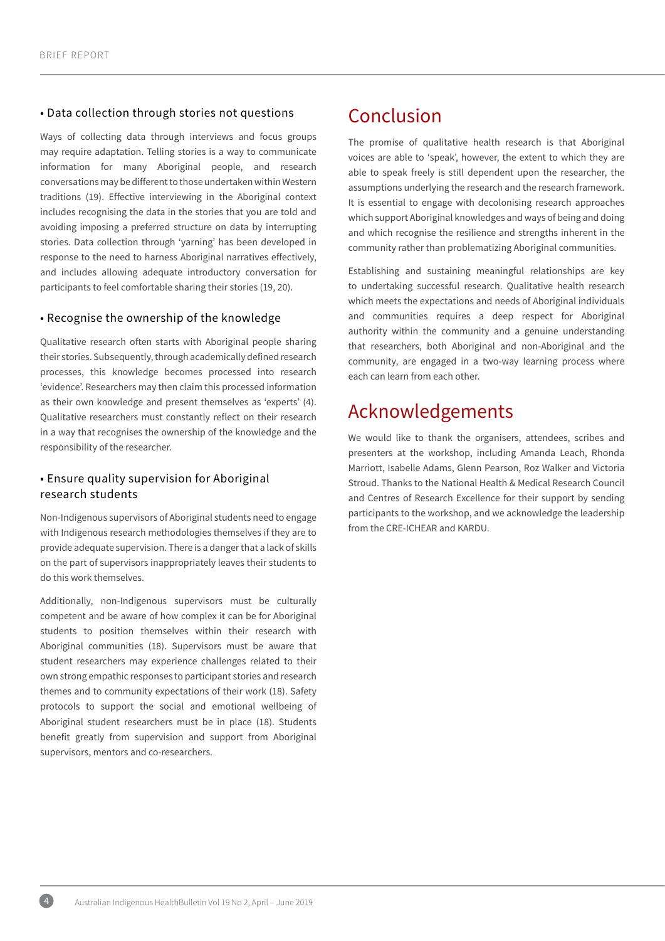#### <span id="page-4-0"></span>• Data collection through stories not questions

Ways of collecting data through interviews and focus groups may require adaptation. Telling stories is a way to communicate information for many Aboriginal people, and research conversations may be different to those undertaken within Western traditions (19). Effective interviewing in the Aboriginal context includes recognising the data in the stories that you are told and avoiding imposing a preferred structure on data by interrupting stories. Data collection through 'yarning' has been developed in response to the need to harness Aboriginal narratives effectively, and includes allowing adequate introductory conversation for participants to feel comfortable sharing their stories (19, 20).

#### • Recognise the ownership of the knowledge

Qualitative research often starts with Aboriginal people sharing their stories. Subsequently, through academically defined research processes, this knowledge becomes processed into research 'evidence'. Researchers may then claim this processed information as their own knowledge and present themselves as 'experts' (4). Qualitative researchers must constantly reflect on their research in a way that recognises the ownership of the knowledge and the responsibility of the researcher.

#### • Ensure quality supervision for Aboriginal research students

Non-Indigenous supervisors of Aboriginal students need to engage with Indigenous research methodologies themselves if they are to provide adequate supervision. There is a danger that a lack of skills on the part of supervisors inappropriately leaves their students to do this work themselves.

Additionally, non-Indigenous supervisors must be culturally competent and be aware of how complex it can be for Aboriginal students to position themselves within their research with Aboriginal communities (18). Supervisors must be aware that student researchers may experience challenges related to their own strong empathic responses to participant stories and research themes and to community expectations of their work (18). Safety protocols to support the social and emotional wellbeing of Aboriginal student researchers must be in place (18). Students benefit greatly from supervision and support from Aboriginal supervisors, mentors and co-researchers.

### Conclusion

The promise of qualitative health research is that Aboriginal voices are able to 'speak', however, the extent to which they are able to speak freely is still dependent upon the researcher, the assumptions underlying the research and the research framework. It is essential to engage with decolonising research approaches which support Aboriginal knowledges and ways of being and doing and which recognise the resilience and strengths inherent in the community rather than problematizing Aboriginal communities.

Establishing and sustaining meaningful relationships are key to undertaking successful research. Qualitative health research which meets the expectations and needs of Aboriginal individuals and communities requires a deep respect for Aboriginal authority within the community and a genuine understanding that researchers, both Aboriginal and non-Aboriginal and the community, are engaged in a two-way learning process where each can learn from each other.

# Acknowledgements

We would like to thank the organisers, attendees, scribes and presenters at the workshop, including Amanda Leach, Rhonda Marriott, Isabelle Adams, Glenn Pearson, Roz Walker and Victoria Stroud. Thanks to the National Health & Medical Research Council and Centres of Research Excellence for their support by sending participants to the workshop, and we acknowledge the leadership from the CRE-ICHEAR and KARDU.

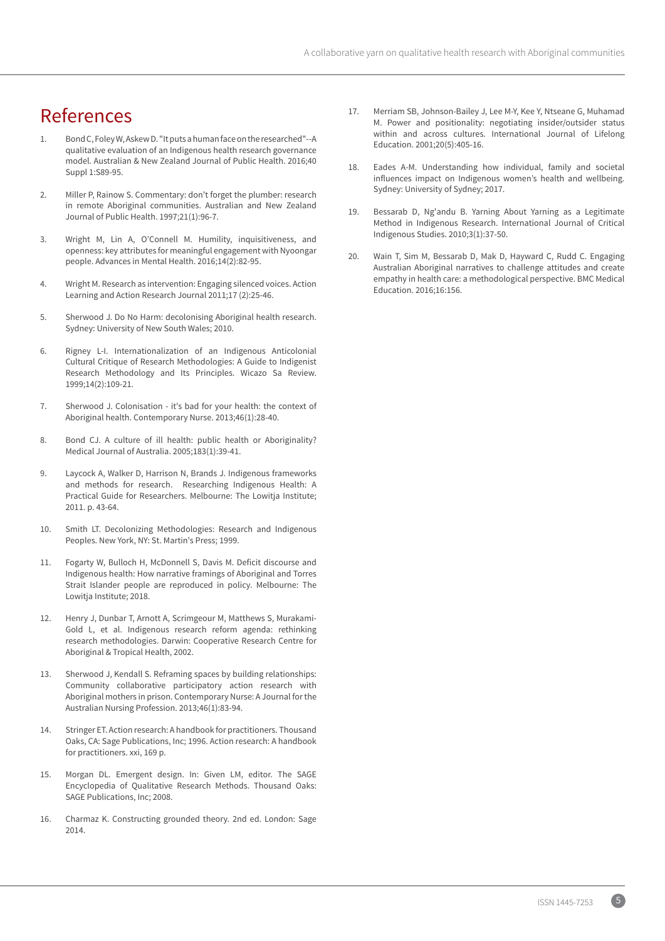### <span id="page-5-0"></span>References

- Bond C, Foley W, Askew D. "It puts a human face on the researched"--A qualitative evaluation of an Indigenous health research governance model. Australian & New Zealand Journal of Public Health. 2016;40 Suppl 1:S89-95.
- 2. Miller P, Rainow S. Commentary: don't forget the plumber: research in remote Aboriginal communities. Australian and New Zealand Journal of Public Health. 1997;21(1):96-7.
- 3. Wright M, Lin A, O'Connell M. Humility, inquisitiveness, and openness: key attributes for meaningful engagement with Nyoongar people. Advances in Mental Health. 2016;14(2):82-95.
- 4. Wright M. Research as intervention: Engaging silenced voices. Action Learning and Action Research Journal 2011;17 (2):25-46.
- 5. Sherwood J. Do No Harm: decolonising Aboriginal health research. Sydney: University of New South Wales; 2010.
- 6. Rigney L-I. Internationalization of an Indigenous Anticolonial Cultural Critique of Research Methodologies: A Guide to Indigenist Research Methodology and Its Principles. Wicazo Sa Review. 1999;14(2):109-21.
- 7. Sherwood J. Colonisation it's bad for your health: the context of Aboriginal health. Contemporary Nurse. 2013;46(1):28-40.
- 8. Bond CJ. A culture of ill health: public health or Aboriginality? Medical Journal of Australia. 2005;183(1):39-41.
- 9. Laycock A, Walker D, Harrison N, Brands J. Indigenous frameworks and methods for research. Researching Indigenous Health: A Practical Guide for Researchers. Melbourne: The Lowitja Institute; 2011. p. 43-64.
- 10. Smith LT. Decolonizing Methodologies: Research and Indigenous Peoples. New York, NY: St. Martin's Press; 1999.
- 11. Fogarty W, Bulloch H, McDonnell S, Davis M. Deficit discourse and Indigenous health: How narrative framings of Aboriginal and Torres Strait Islander people are reproduced in policy. Melbourne: The Lowitja Institute; 2018.
- 12. Henry J, Dunbar T, Arnott A, Scrimgeour M, Matthews S, Murakami-Gold L, et al. Indigenous research reform agenda: rethinking research methodologies. Darwin: Cooperative Research Centre for Aboriginal & Tropical Health, 2002.
- 13. Sherwood J, Kendall S. Reframing spaces by building relationships: Community collaborative participatory action research with Aboriginal mothers in prison. Contemporary Nurse: A Journal for the Australian Nursing Profession. 2013;46(1):83-94.
- 14. Stringer ET. Action research: A handbook for practitioners. Thousand Oaks, CA: Sage Publications, Inc; 1996. Action research: A handbook for practitioners. xxi, 169 p.
- 15. Morgan DL. Emergent design. In: Given LM, editor. The SAGE Encyclopedia of Qualitative Research Methods. Thousand Oaks: SAGE Publications, Inc; 2008.
- 16. Charmaz K. Constructing grounded theory. 2nd ed. London: Sage 2014.
- 17. Merriam SB, Johnson-Bailey J, Lee M-Y, Kee Y, Ntseane G, Muhamad M. Power and positionality: negotiating insider/outsider status within and across cultures. International Journal of Lifelong Education. 2001;20(5):405-16.
- 18. Eades A-M. Understanding how individual, family and societal influences impact on Indigenous women's health and wellbeing. Sydney: University of Sydney; 2017.
- 19. Bessarab D, Ng'andu B. Yarning About Yarning as a Legitimate Method in Indigenous Research. International Journal of Critical Indigenous Studies. 2010;3(1):37-50.
- 20. Wain T, Sim M, Bessarab D, Mak D, Hayward C, Rudd C. Engaging Australian Aboriginal narratives to challenge attitudes and create empathy in health care: a methodological perspective. BMC Medical Education. 2016;16:156.

5